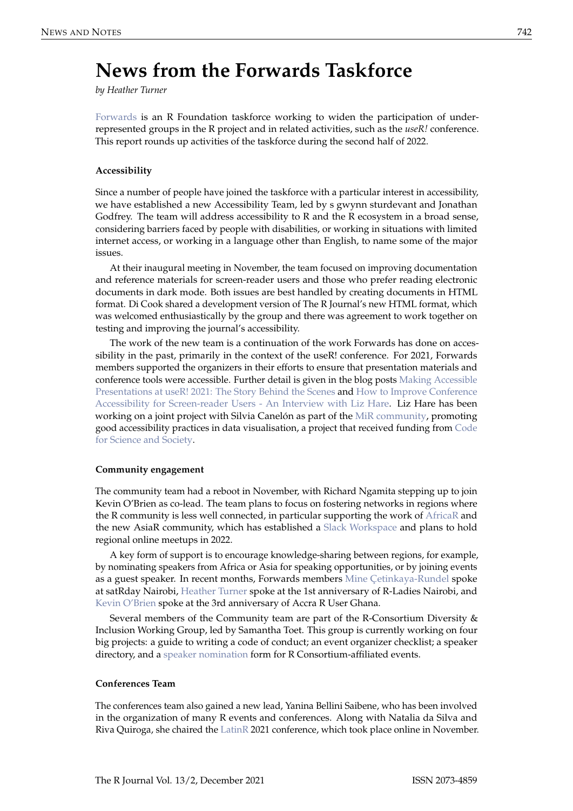# **News from the Forwards Taskforce**

*by Heather Turner*

[Forwards](https://forwards.github.io/) is an R Foundation taskforce working to widen the participation of underrepresented groups in the R project and in related activities, such as the *useR!* conference. This report rounds up activities of the taskforce during the second half of 2022.

## **Accessibility**

Since a number of people have joined the taskforce with a particular interest in accessibility, we have established a new Accessibility Team, led by s gwynn sturdevant and Jonathan Godfrey. The team will address accessibility to R and the R ecosystem in a broad sense, considering barriers faced by people with disabilities, or working in situations with limited internet access, or working in a language other than English, to name some of the major issues.

At their inaugural meeting in November, the team focused on improving documentation and reference materials for screen-reader users and those who prefer reading electronic documents in dark mode. Both issues are best handled by creating documents in HTML format. Di Cook shared a development version of The R Journal's new HTML format, which was welcomed enthusiastically by the group and there was agreement to work together on testing and improving the journal's accessibility.

The work of the new team is a continuation of the work Forwards has done on accessibility in the past, primarily in the context of the useR! conference. For 2021, Forwards members supported the organizers in their efforts to ensure that presentation materials and conference tools were accessible. Further detail is given in the blog posts [Making Accessible](https://user2021.r-project.org/blog/2021/12/07/accessibility_awards_interview/) [Presentations at useR! 2021: The Story Behind the Scenes](https://user2021.r-project.org/blog/2021/12/07/accessibility_awards_interview/) and [How to Improve Conference](https://user2021.r-project.org/blog/2021/11/04/accessibility_interview_liz_hare/) [Accessibility for Screen-reader Users - An Interview with Liz Hare.](https://user2021.r-project.org/blog/2021/11/04/accessibility_interview_liz_hare/) Liz Hare has been working on a joint project with Silvia Canelón as part of the [MiR community,](https://mircommunity.com/) promoting good accessibility practices in data visualisation, a project that received funding from [Code](https://eventfund.codeforscience.org/announcing-the-new-cohort-of-event-fund-grantees/) [for Science and Society.](https://eventfund.codeforscience.org/announcing-the-new-cohort-of-event-fund-grantees/)

## **Community engagement**

The community team had a reboot in November, with Richard Ngamita stepping up to join Kevin O'Brien as co-lead. The team plans to focus on fostering networks in regions where the R community is less well connected, in particular supporting the work of [AfricaR](https://africa-r.org/) and the new AsiaR community, which has established a [Slack Workspace](https://bit.ly/join_asiaR_slack) and plans to hold regional online meetups in 2022.

A key form of support is to encourage knowledge-sharing between regions, for example, by nominating speakers from Africa or Asia for speaking opportunities, or by joining events as a guest speaker. In recent months, Forwards members [Mine Çetinkaya-Rundel](https://twitter.com/minebocek/status/1434173671313190913) spoke at satRday Nairobi, [Heather Turner](https://twitter.com/HeathrTurnr/status/1459495802850746370) spoke at the 1st anniversary of R-Ladies Nairobi, and [Kevin O'Brien](https://twitter.com/RUsersGhana/status/1482079597214773248) spoke at the 3rd anniversary of Accra R User Ghana.

Several members of the Community team are part of the R-Consortium Diversity & Inclusion Working Group, led by Samantha Toet. This group is currently working on four big projects: a guide to writing a code of conduct; an event organizer checklist; a speaker directory, and a [speaker nomination](https://www.r-consortium.org/blog/2021/07/14/r-consortium-diversity-inclusion-speaker-nomination) form for R Consortium-affiliated events.

## **Conferences Team**

The conferences team also gained a new lead, Yanina Bellini Saibene, who has been involved in the organization of many R events and conferences. Along with Natalia da Silva and Riva Quiroga, she chaired the [LatinR](https://latin-r.com/en) 2021 conference, which took place online in November.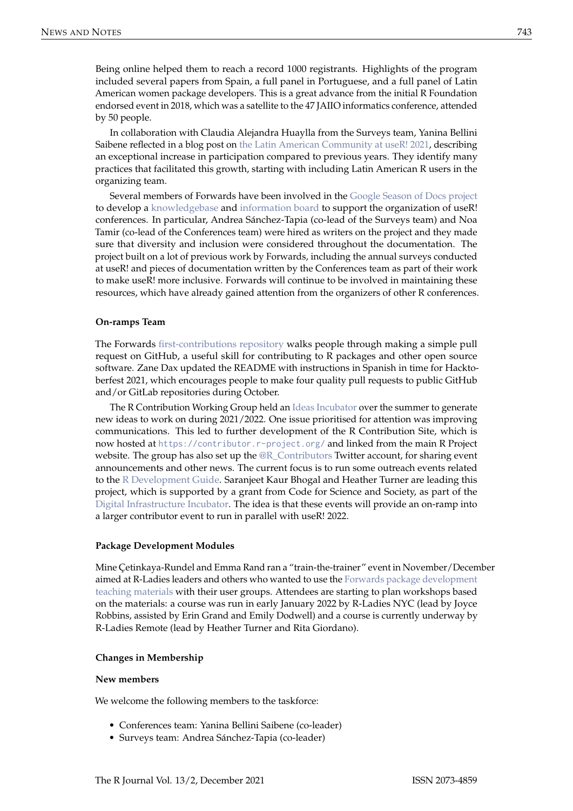Being online helped them to reach a record 1000 registrants. Highlights of the program included several papers from Spain, a full panel in Portuguese, and a full panel of Latin American women package developers. This is a great advance from the initial R Foundation endorsed event in 2018, which was a satellite to the 47 JAIIO informatics conference, attended by 50 people.

In collaboration with Claudia Alejandra Huaylla from the Surveys team, Yanina Bellini Saibene reflected in a blog post on [the Latin American Community at useR! 2021,](https://user2021.r-project.org/blog/2021/11/26/latines_at_user/) describing an exceptional increase in participation compared to previous years. They identify many practices that facilitated this growth, starting with including Latin American R users in the organizing team.

Several members of Forwards have been involved in the [Google Season of Docs project](https://developers.google.com/season-of-docs/docs/participants) to develop a [knowledgebase](https://bit.ly/knowledgebase-rj) and [information board](https://bit.ly/3fA5r61) to support the organization of useR! conferences. In particular, Andrea Sánchez-Tapia (co-lead of the Surveys team) and Noa Tamir (co-lead of the Conferences team) were hired as writers on the project and they made sure that diversity and inclusion were considered throughout the documentation. The project built on a lot of previous work by Forwards, including the annual surveys conducted at useR! and pieces of documentation written by the Conferences team as part of their work to make useR! more inclusive. Forwards will continue to be involved in maintaining these resources, which have already gained attention from the organizers of other R conferences.

## **On-ramps Team**

The Forwards [first-contributions repository](https://github.com/forwards/first-contributions) walks people through making a simple pull request on GitHub, a useful skill for contributing to R packages and other open source software. Zane Dax updated the README with instructions in Spanish in time for Hacktoberfest 2021, which encourages people to make four quality pull requests to public GitHub and/or GitLab repositories during October.

The R Contribution Working Group held an [Ideas Incubator](https://github.com/r-devel/rcontribution/blob/main/ideas_incubator.md) over the summer to generate new ideas to work on during 2021/2022. One issue prioritised for attention was improving communications. This led to further development of the R Contribution Site, which is now hosted at <https://contributor.r-project.org/> and linked from the main R Project website. The group has also set up the [@R\\_Contributors](https://twitter.com/R_Contributors) Twitter account, for sharing event announcements and other news. The current focus is to run some outreach events related to the [R Development Guide.](https://contributor.r-project.org/rdevguide/) Saranjeet Kaur Bhogal and Heather Turner are leading this project, which is supported by a grant from Code for Science and Society, as part of the [Digital Infrastructure Incubator.](https://incubator.codeforscience.org/cohort) The idea is that these events will provide an on-ramp into a larger contributor event to run in parallel with useR! 2022.

## **Package Development Modules**

Mine Çetinkaya-Rundel and Emma Rand ran a "train-the-trainer" event in November/December aimed at R-Ladies leaders and others who wanted to use the [Forwards package development](https://github.com/forwards/workshops/tree/master/package-dev-modules) [teaching materials](https://github.com/forwards/workshops/tree/master/package-dev-modules) with their user groups. Attendees are starting to plan workshops based on the materials: a course was run in early January 2022 by R-Ladies NYC (lead by Joyce Robbins, assisted by Erin Grand and Emily Dodwell) and a course is currently underway by R-Ladies Remote (lead by Heather Turner and Rita Giordano).

## **Changes in Membership**

## **New members**

We welcome the following members to the taskforce:

- Conferences team: Yanina Bellini Saibene (co-leader)
- Surveys team: Andrea Sánchez-Tapia (co-leader)